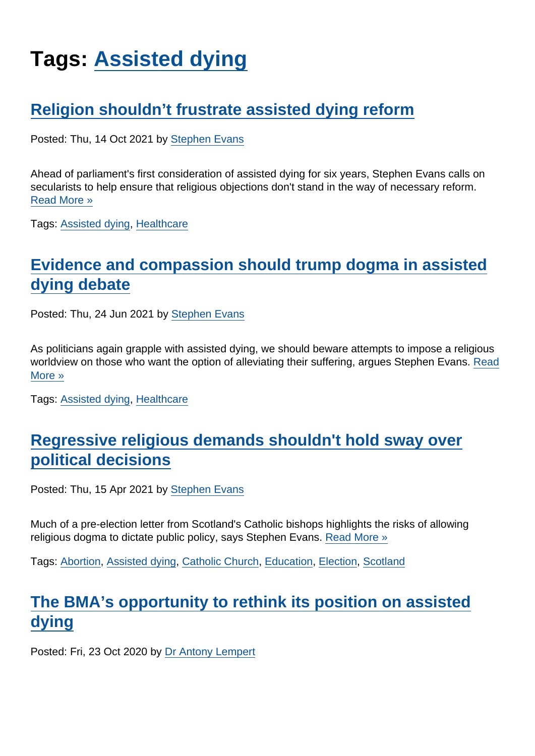# Tags: [Assisted dying](https://www.secularism.org.uk/opinion/tags/Assisted+dying)

## [Religion shouldn't frustrate assisted dying reform](https://www.secularism.org.uk/opinion/2021/10/religion-shouldnt-frustrate-assisted-dying-reform)

Posted: Thu, 14 Oct 2021 by [Stephen Evans](https://www.secularism.org.uk/opinion/authors/845)

Ahead of parliament's first consideration of assisted dying for six years, Stephen Evans calls on secularists to help ensure that religious objections don't stand in the way of necessary reform. [Read More »](https://www.secularism.org.uk/opinion/2021/10/religion-shouldnt-frustrate-assisted-dying-reform)

Tags: [Assisted dying,](https://www.secularism.org.uk/opinion/tags/Assisted+dying) [Healthcare](https://www.secularism.org.uk/opinion/tags/Healthcare)

# [Evidence and compassion should trump dogma in assisted](https://www.secularism.org.uk/opinion/2021/06/evidence-and-compassion-should-trump-dogma-in-assisted-dying-debate) [dying debate](https://www.secularism.org.uk/opinion/2021/06/evidence-and-compassion-should-trump-dogma-in-assisted-dying-debate)

Posted: Thu, 24 Jun 2021 by [Stephen Evans](https://www.secularism.org.uk/opinion/authors/845)

As politicians again grapple with assisted dying, we should beware attempts to impose a religious worldview on those who want the option of alleviating their suffering, argues Stephen Evans. [Read](https://www.secularism.org.uk/opinion/2021/06/evidence-and-compassion-should-trump-dogma-in-assisted-dying-debate) [More »](https://www.secularism.org.uk/opinion/2021/06/evidence-and-compassion-should-trump-dogma-in-assisted-dying-debate)

Tags: [Assisted dying,](https://www.secularism.org.uk/opinion/tags/Assisted+dying) [Healthcare](https://www.secularism.org.uk/opinion/tags/Healthcare)

#### [Regressive religious demands shouldn't hold sway over](https://www.secularism.org.uk/opinion/2021/04/regressive-religious-demands-shouldnt-hold-sway-over-political-decisions) [political decisions](https://www.secularism.org.uk/opinion/2021/04/regressive-religious-demands-shouldnt-hold-sway-over-political-decisions)

Posted: Thu, 15 Apr 2021 by [Stephen Evans](https://www.secularism.org.uk/opinion/authors/845)

Much of a pre-election letter from Scotland's Catholic bishops highlights the risks of allowing religious dogma to dictate public policy, says Stephen Evans. [Read More »](https://www.secularism.org.uk/opinion/2021/04/regressive-religious-demands-shouldnt-hold-sway-over-political-decisions)

Tags: [Abortion](https://www.secularism.org.uk/opinion/tags/Abortion), [Assisted dying](https://www.secularism.org.uk/opinion/tags/Assisted+dying), [Catholic Church](https://www.secularism.org.uk/opinion/tags/Catholic+Church), [Education](https://www.secularism.org.uk/opinion/tags/Education), [Election,](https://www.secularism.org.uk/opinion/tags/Election) [Scotland](https://www.secularism.org.uk/opinion/tags/Scotland)

#### [The BMA's opportunity to rethink its position on assisted](https://www.secularism.org.uk/opinion/2020/10/the-bmas-opportunity-to-rethink-its-position-on-assisted-dying) [dying](https://www.secularism.org.uk/opinion/2020/10/the-bmas-opportunity-to-rethink-its-position-on-assisted-dying)

Posted: Fri, 23 Oct 2020 by [Dr Antony Lempert](https://www.secularism.org.uk/opinion/authors/860)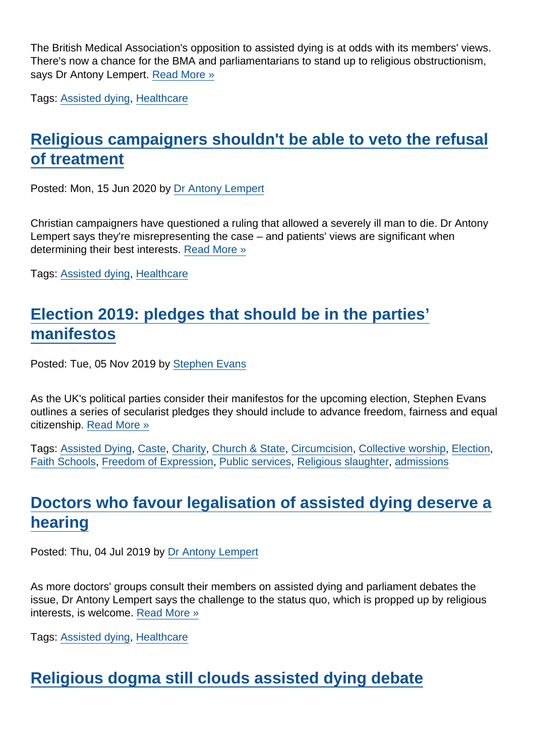The British Medical Association's opposition to assisted dying is at odds with its members' views. There's now a chance for the BMA and parliamentarians to stand up to religious obstructionism, says Dr Antony Lempert. [Read More »](https://www.secularism.org.uk/opinion/2020/10/the-bmas-opportunity-to-rethink-its-position-on-assisted-dying)

Tags: [Assisted dying,](https://www.secularism.org.uk/opinion/tags/Assisted+dying) [Healthcare](https://www.secularism.org.uk/opinion/tags/Healthcare)

# [Religious campaigners shouldn't be able to veto the refusal](https://www.secularism.org.uk/opinion/2020/06/religious-campaigners-shouldnt-be-able-to-veto-the-refusal-of-treatment) [of treatment](https://www.secularism.org.uk/opinion/2020/06/religious-campaigners-shouldnt-be-able-to-veto-the-refusal-of-treatment)

Posted: Mon, 15 Jun 2020 by [Dr Antony Lempert](https://www.secularism.org.uk/opinion/authors/860)

Christian campaigners have questioned a ruling that allowed a severely ill man to die. Dr Antony Lempert says they're misrepresenting the case – and patients' views are significant when determining their best interests. [Read More »](https://www.secularism.org.uk/opinion/2020/06/religious-campaigners-shouldnt-be-able-to-veto-the-refusal-of-treatment)

Tags: [Assisted dying,](https://www.secularism.org.uk/opinion/tags/Assisted+dying) [Healthcare](https://www.secularism.org.uk/opinion/tags/Healthcare)

# [Election 2019: pledges that should be in the parties'](https://www.secularism.org.uk/opinion/2019/11/election-2019-pledges-that-should-be-in-the-parties-manifestos) [manifestos](https://www.secularism.org.uk/opinion/2019/11/election-2019-pledges-that-should-be-in-the-parties-manifestos)

Posted: Tue, 05 Nov 2019 by [Stephen Evans](https://www.secularism.org.uk/opinion/authors/845)

As the UK's political parties consider their manifestos for the upcoming election, Stephen Evans outlines a series of secularist pledges they should include to advance freedom, fairness and equal citizenship. [Read More »](https://www.secularism.org.uk/opinion/2019/11/election-2019-pledges-that-should-be-in-the-parties-manifestos)

Tags: [Assisted Dying,](https://www.secularism.org.uk/opinion/tags/Assisted+Dying) [Caste,](https://www.secularism.org.uk/opinion/tags/Caste) [Charity](https://www.secularism.org.uk/opinion/tags/Charity), [Church & State](https://www.secularism.org.uk/opinion/tags/Church+&+State), [Circumcision,](https://www.secularism.org.uk/opinion/tags/Circumcision) [Collective worship](https://www.secularism.org.uk/opinion/tags/Collective+worship), [Election,](https://www.secularism.org.uk/opinion/tags/Election) [Faith Schools,](https://www.secularism.org.uk/opinion/tags/Faith+Schools) [Freedom of Expression](https://www.secularism.org.uk/opinion/tags/Freedom+of+Expression), [Public services](https://www.secularism.org.uk/opinion/tags/Public+services), [Religious slaughter,](https://www.secularism.org.uk/opinion/tags/Religious+slaughter) [admissions](https://www.secularism.org.uk/opinion/tags/admissions)

## [Doctors who favour legalisation of assisted dying deserve a](https://www.secularism.org.uk/opinion/2019/07/the-medical-profession-is-right-to-reconsider-assisted-dying) [hearing](https://www.secularism.org.uk/opinion/2019/07/the-medical-profession-is-right-to-reconsider-assisted-dying)

Posted: Thu, 04 Jul 2019 by [Dr Antony Lempert](https://www.secularism.org.uk/opinion/authors/860)

As more doctors' groups consult their members on assisted dying and parliament debates the issue, Dr Antony Lempert says the challenge to the status quo, which is propped up by religious interests, is welcome. [Read More »](https://www.secularism.org.uk/opinion/2019/07/the-medical-profession-is-right-to-reconsider-assisted-dying)

Tags: [Assisted dying,](https://www.secularism.org.uk/opinion/tags/Assisted+dying) [Healthcare](https://www.secularism.org.uk/opinion/tags/Healthcare)

# [Religious dogma still clouds assisted dying debate](https://www.secularism.org.uk/opinion/2019/02/religious-dogma-still-plagues-the-assisted-dying-debate)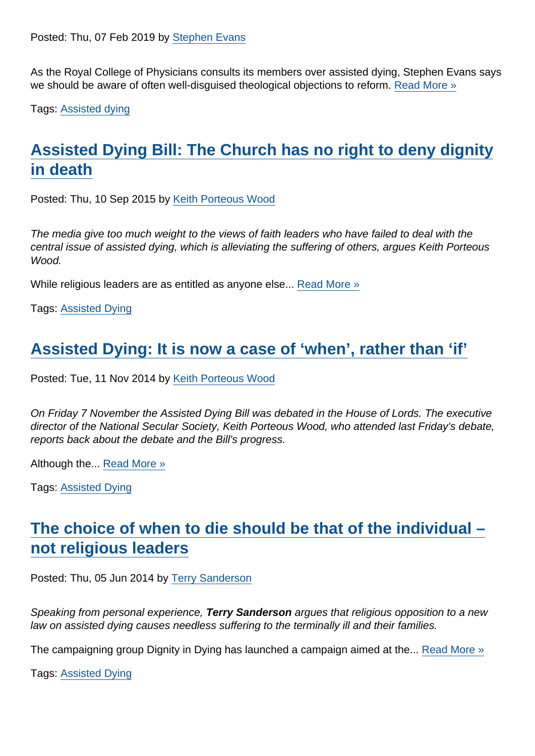As the Royal College of Physicians consults its members over assisted dying, Stephen Evans says we should be aware of often well-disguised theological objections to reform. [Read More »](https://www.secularism.org.uk/opinion/2019/02/religious-dogma-still-plagues-the-assisted-dying-debate)

Tags: [Assisted dying](https://www.secularism.org.uk/opinion/tags/Assisted+dying)

# [Assisted Dying Bill: The Church has no right to deny dignity](https://www.secularism.org.uk/opinion/2015/09/assisted-dying-bill-the-church-has-no-right-to-deny-dignity-in-death) [in death](https://www.secularism.org.uk/opinion/2015/09/assisted-dying-bill-the-church-has-no-right-to-deny-dignity-in-death)

Posted: Thu, 10 Sep 2015 by [Keith Porteous Wood](https://www.secularism.org.uk/opinion/authors/852)

The media give too much weight to the views of faith leaders who have failed to deal with the central issue of assisted dying, which is alleviating the suffering of others, argues Keith Porteous Wood.

While religious leaders are as entitled as anyone else... [Read More »](https://www.secularism.org.uk/opinion/2015/09/assisted-dying-bill-the-church-has-no-right-to-deny-dignity-in-death)

Tags: [Assisted Dying](https://www.secularism.org.uk/opinion/tags/Assisted+Dying)

#### [Assisted Dying: It is now a case of 'when', rather than 'if'](https://www.secularism.org.uk/opinion/2014/11/assisted-dying-it-is-now-a-case-of-when-rather-than-if)

Posted: Tue, 11 Nov 2014 by [Keith Porteous Wood](https://www.secularism.org.uk/opinion/authors/852)

On Friday 7 November the Assisted Dying Bill was debated in the House of Lords. The executive director of the National Secular Society, Keith Porteous Wood, who attended last Friday's debate, reports back about the debate and the Bill's progress.

Although the... [Read More »](https://www.secularism.org.uk/opinion/2014/11/assisted-dying-it-is-now-a-case-of-when-rather-than-if)

Tags: [Assisted Dying](https://www.secularism.org.uk/opinion/tags/Assisted+Dying)

# [The choice of when to die should be that of the individual –](https://www.secularism.org.uk/opinion/2014/06/the-choice-of-when-to-die-should-be-that-of-the-individual-not-religious-leaders) [not religious leaders](https://www.secularism.org.uk/opinion/2014/06/the-choice-of-when-to-die-should-be-that-of-the-individual-not-religious-leaders)

Posted: Thu, 05 Jun 2014 by [Terry Sanderson](https://www.secularism.org.uk/opinion/authors/850)

Speaking from personal experience, Terry Sanderson argues that religious opposition to a new law on assisted dying causes needless suffering to the terminally ill and their families.

The campaigning group Dignity in Dying has launched a campaign aimed at the... [Read More »](https://www.secularism.org.uk/opinion/2014/06/the-choice-of-when-to-die-should-be-that-of-the-individual-not-religious-leaders)

Tags: [Assisted Dying](https://www.secularism.org.uk/opinion/tags/Assisted+Dying)